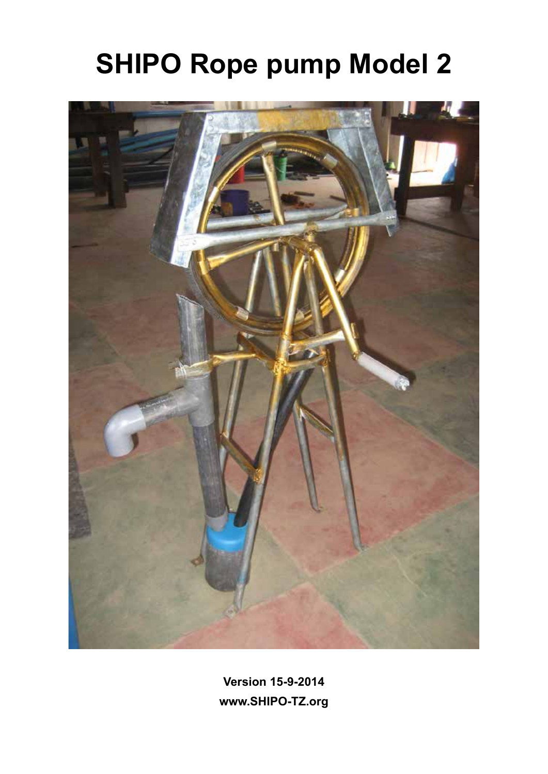## **SHIPO Rope pump Model 2**



**Version 15-9-2014 www.SHIPO-TZ.org**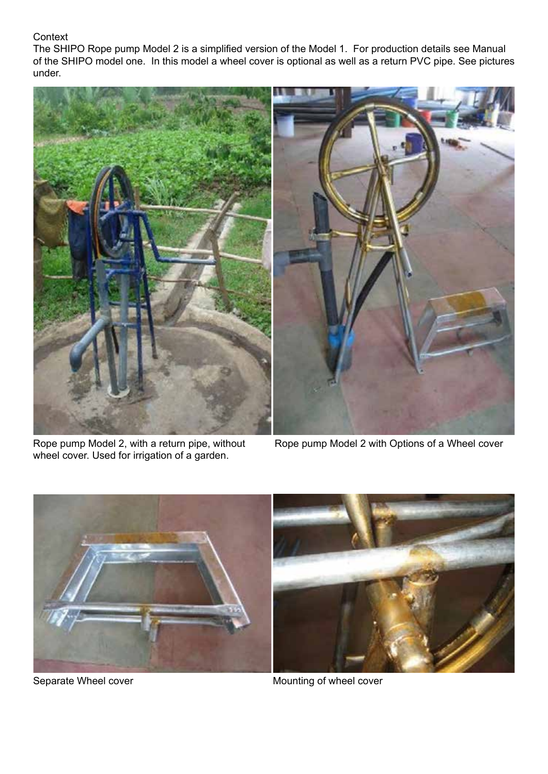## **Context**

The SHIPO Rope pump Model 2 is a simplified version of the Model 1. For production details see Manual of the SHIPO model one. In this model a wheel cover is optional as well as a return PVC pipe. See pictures under.



wheel cover. Used for irrigation of a garden.

Rope pump Model 2, with a return pipe, without Rope pump Model 2 with Options of a Wheel cover



Separate Wheel cover **Mounting** of wheel cover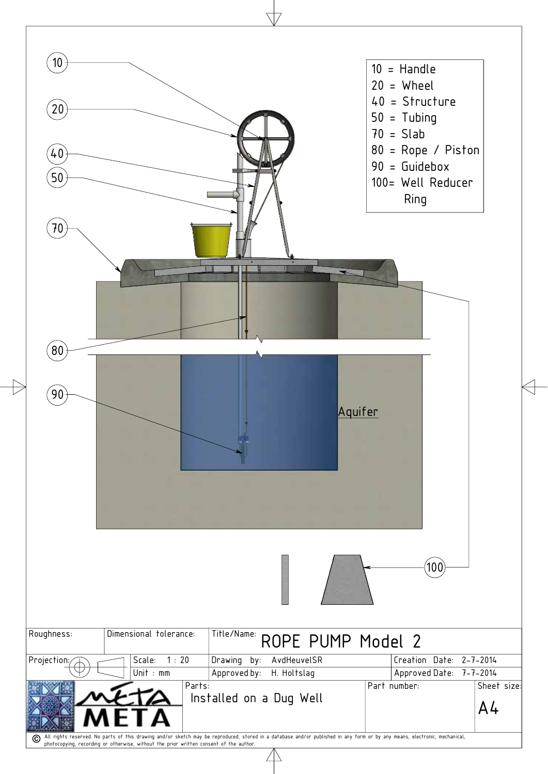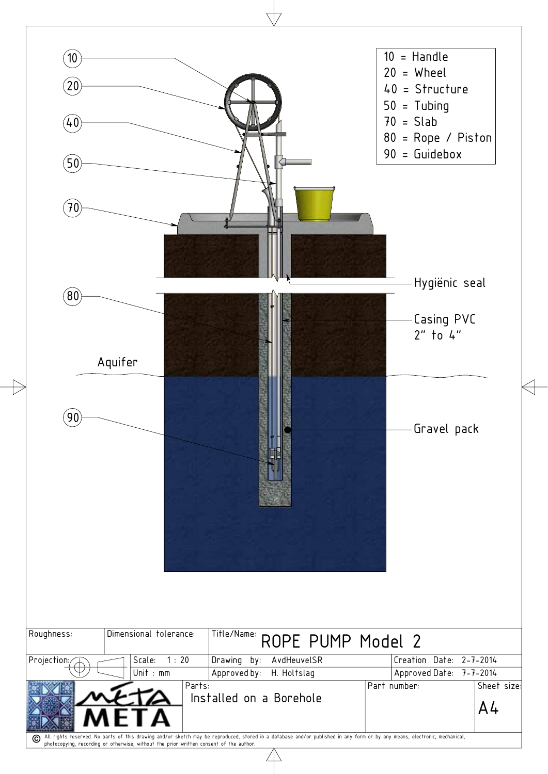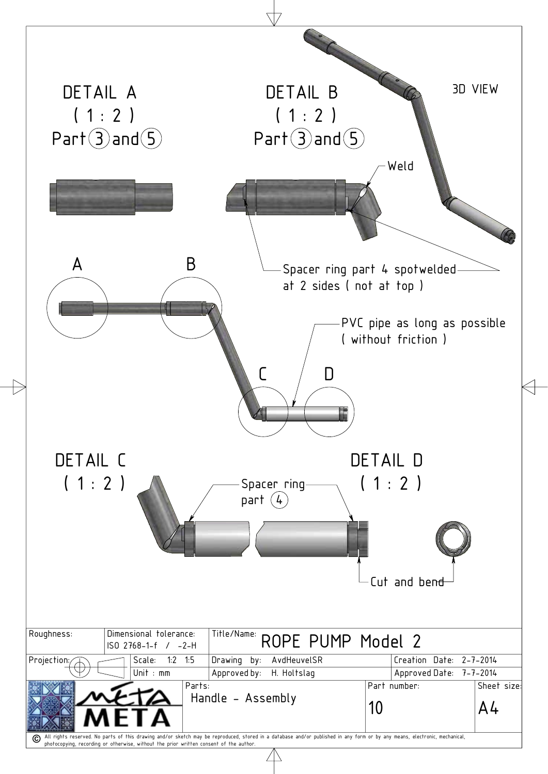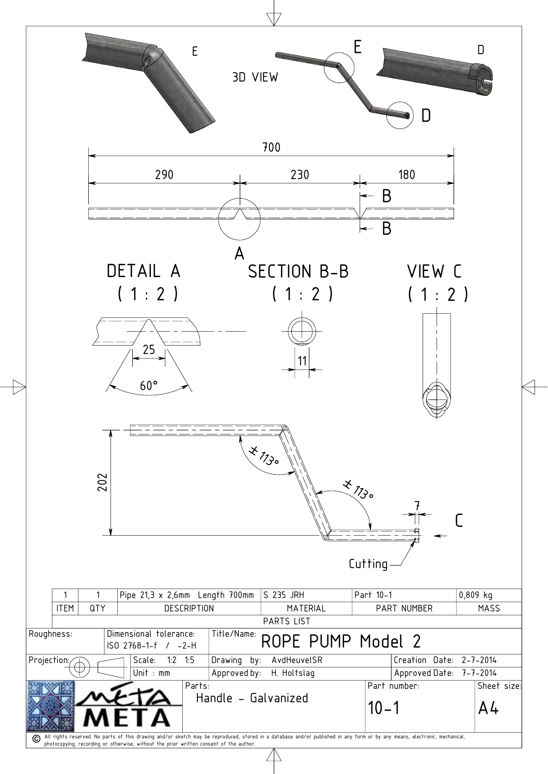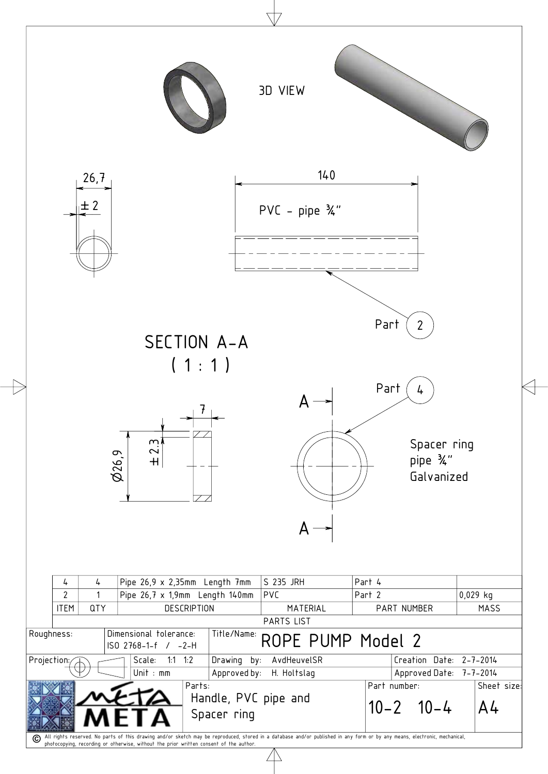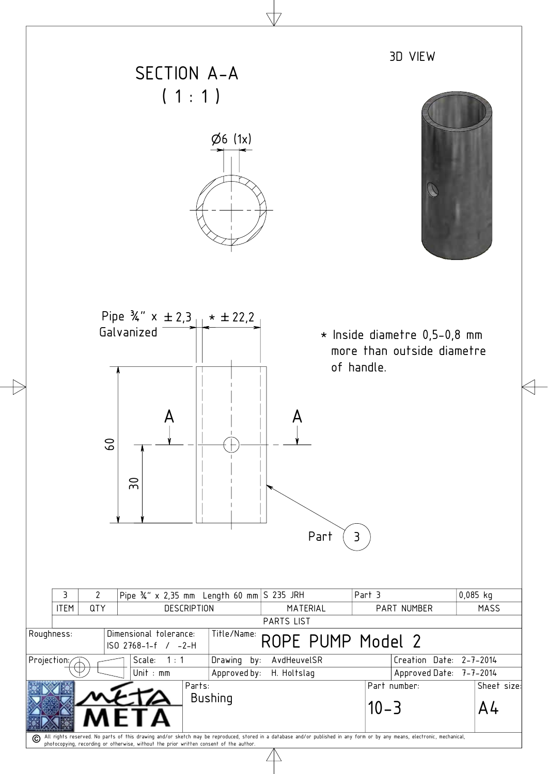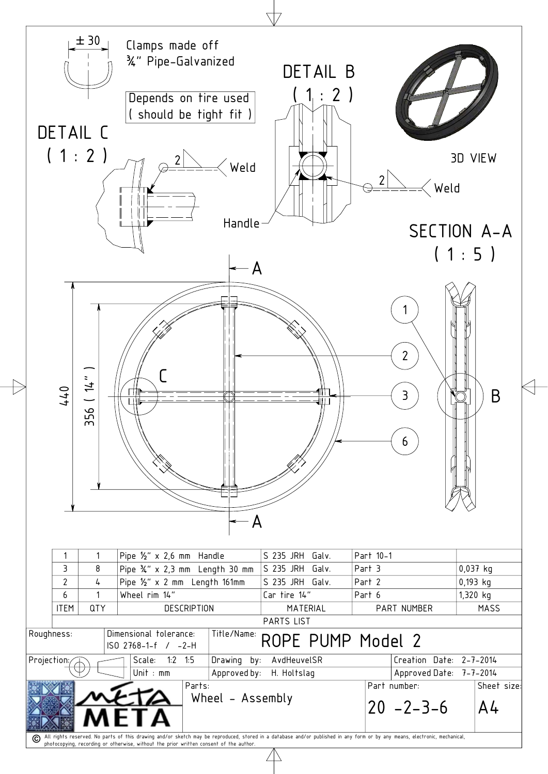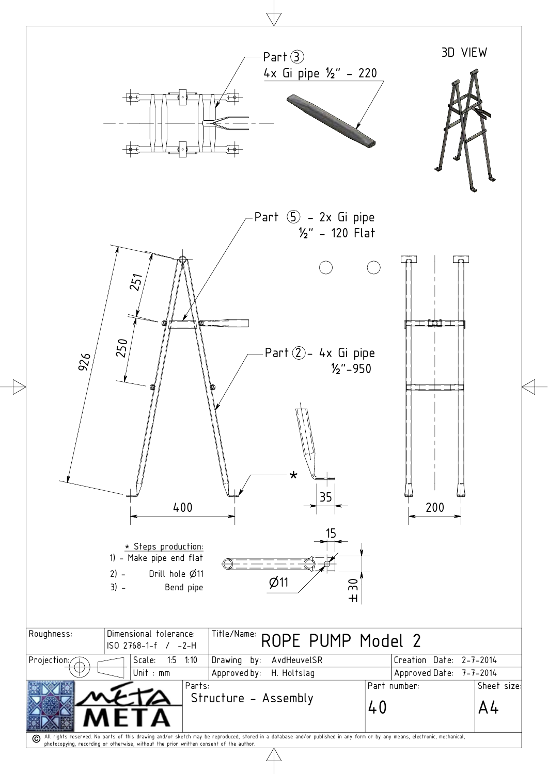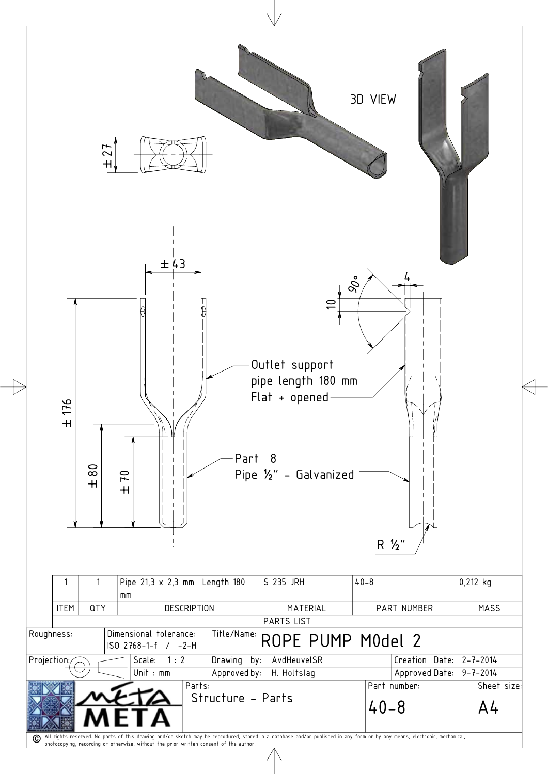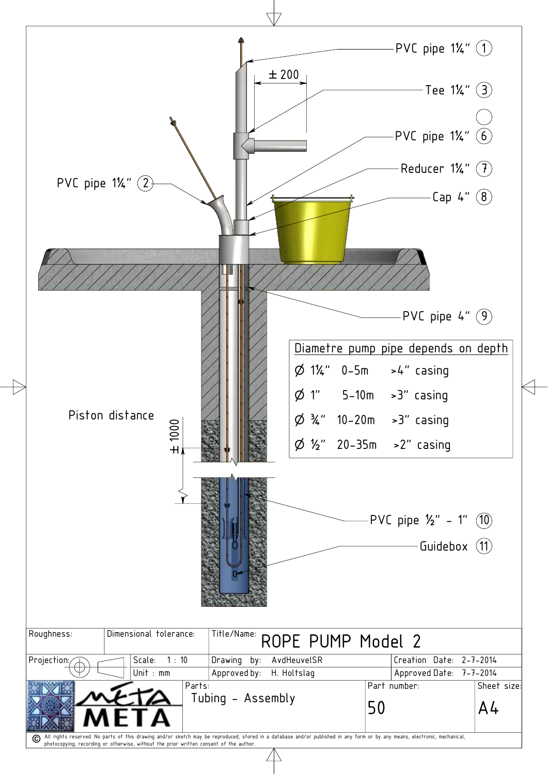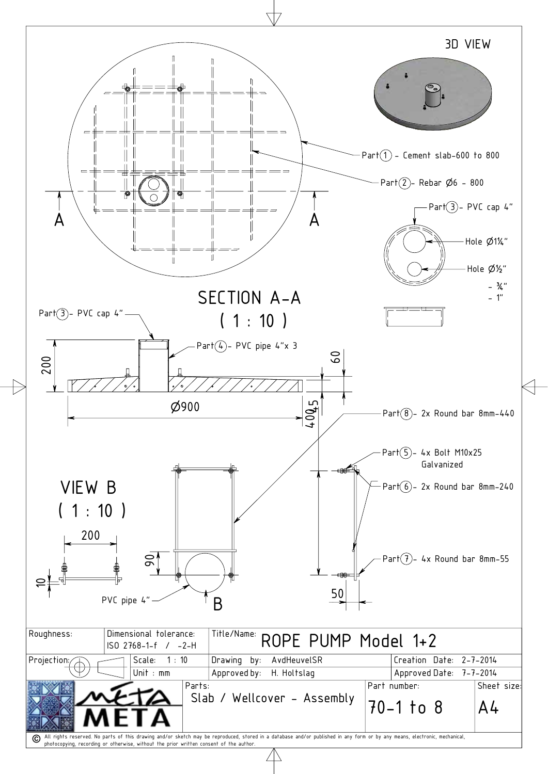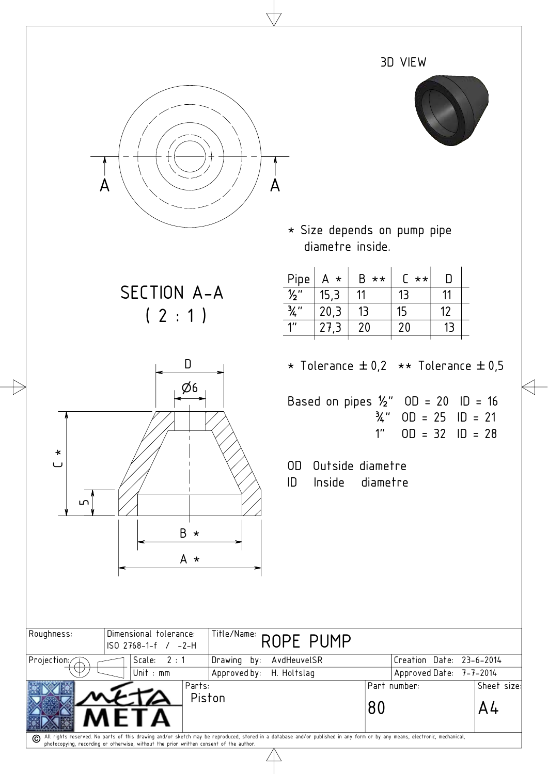|                           |                                                                               |                                                                                                                                                                                | 3D VIEW                                                                                   |                               |
|---------------------------|-------------------------------------------------------------------------------|--------------------------------------------------------------------------------------------------------------------------------------------------------------------------------|-------------------------------------------------------------------------------------------|-------------------------------|
| A                         | Α                                                                             |                                                                                                                                                                                |                                                                                           |                               |
|                           |                                                                               | * Size depends on pump pipe<br>diametre inside.                                                                                                                                |                                                                                           |                               |
|                           | SECTION A-A<br>(2:1)                                                          | $B \star \star$<br>Pipe<br>$A \star$<br>$\overline{\frac{1}{2}}$<br>15,3<br>11<br>$\frac{3}{4}$ "<br>13<br>20,3<br>$1^{\prime\prime}$<br>20<br>27,3                            | $\begin{bmatrix} * & * \end{bmatrix}$<br>$\mathsf{D}$<br>13<br>11<br>15<br>12<br>20<br>13 |                               |
| $\star$<br>$\cup$<br>ഥ    | D<br>Ø6<br>$B \star$<br>A *                                                   | * Tolerance $\pm 0.2$ ** Tolerance $\pm 0.5$<br>Based on pipes $\frac{1}{2}$ " OD = 20 ID = 16<br>¾"<br>1 <sup>''</sup><br>Outside diametre<br>OD.<br>ID<br>Inside<br>diametre | $OD = 25$ $ID = 21$<br>$OD = 32$ $ID = 28$                                                |                               |
| Roughness:<br>Projection: | Dimensional tolerance:<br>ISO 2768-1-f / -2-H<br>2:1<br>Drawing by:<br>Scale: | Title/Name: ROPE PUMP<br>AvdHeuvelSR                                                                                                                                           | Creation Date: 23-6-2014                                                                  |                               |
|                           | Unit : $mm$<br>Approved by: H. Holtslag<br>Parts:<br>Piston                   | 80                                                                                                                                                                             | Approved Date: 7-7-2014<br>Part number:                                                   | Sheet size:<br>A <sup>L</sup> |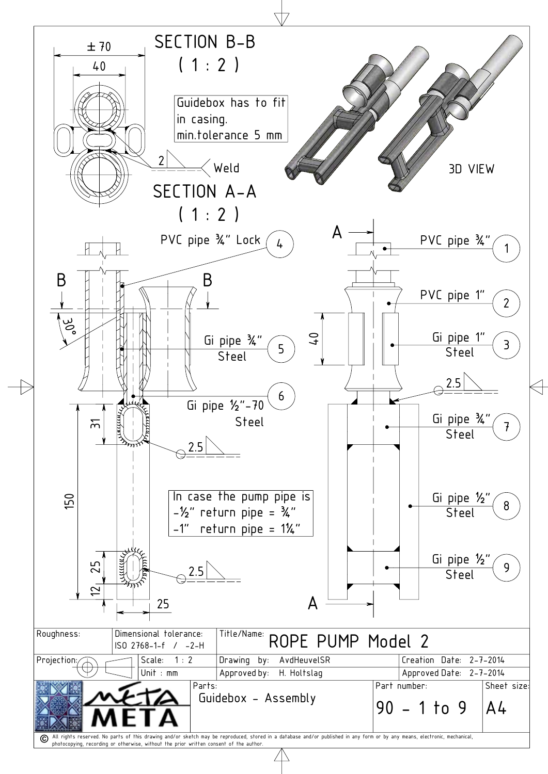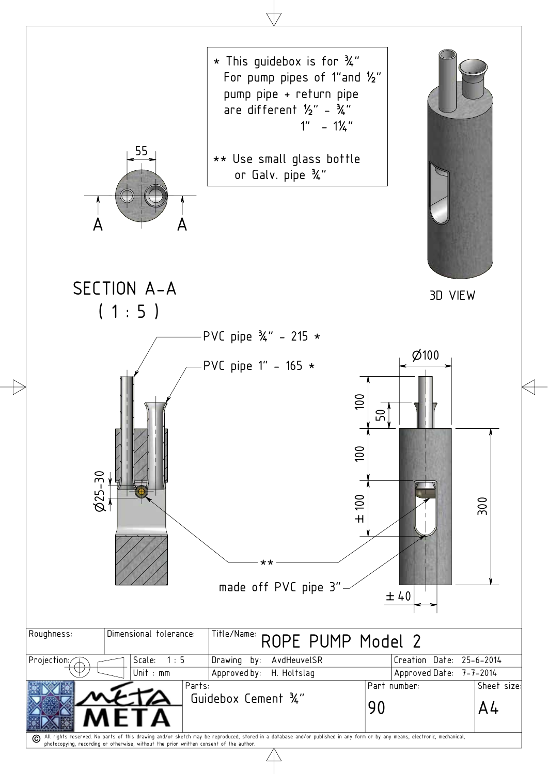